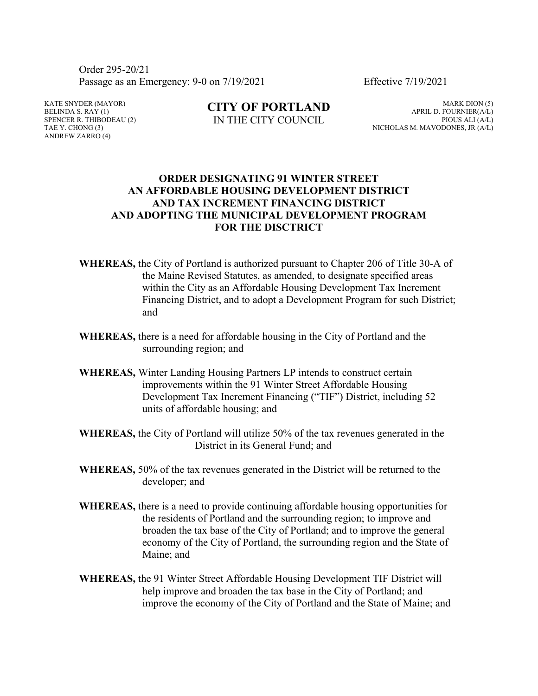Order 295-20/21 Passage as an Emergency: 9-0 on 7/19/2021 Effective 7/19/2021

KATE SNYDER (MAYOR) BELINDA S.  $RAY(1)$ SPENCER R. THIBODEAU (2) TAE Y. CHONG (3) ANDREW ZARRO (4)

**CITY OF PORTLAND** IN THE CITY COUNCIL

MARK DION (5) APRIL D. FOURNIER(A/L) PIOUS ALI (A/L) NICHOLAS M. MAVODONES, JR (A/L)

## **ORDER DESIGNATING 91 WINTER STREET AN AFFORDABLE HOUSING DEVELOPMENT DISTRICT AND TAX INCREMENT FINANCING DISTRICT AND ADOPTING THE MUNICIPAL DEVELOPMENT PROGRAM FOR THE DISCTRICT**

- **WHEREAS,** the City of Portland is authorized pursuant to Chapter 206 of Title 30-A of the Maine Revised Statutes, as amended, to designate specified areas within the City as an Affordable Housing Development Tax Increment Financing District, and to adopt a Development Program for such District; and
- **WHEREAS,** there is a need for affordable housing in the City of Portland and the surrounding region; and
- **WHEREAS,** Winter Landing Housing Partners LP intends to construct certain improvements within the 91 Winter Street Affordable Housing Development Tax Increment Financing ("TIF") District, including 52 units of affordable housing; and
- **WHEREAS,** the City of Portland will utilize 50% of the tax revenues generated in the District in its General Fund; and
- **WHEREAS,** 50% of the tax revenues generated in the District will be returned to the developer; and
- **WHEREAS,** there is a need to provide continuing affordable housing opportunities for the residents of Portland and the surrounding region; to improve and broaden the tax base of the City of Portland; and to improve the general economy of the City of Portland, the surrounding region and the State of Maine; and
- **WHEREAS,** the 91 Winter Street Affordable Housing Development TIF District will help improve and broaden the tax base in the City of Portland; and improve the economy of the City of Portland and the State of Maine; and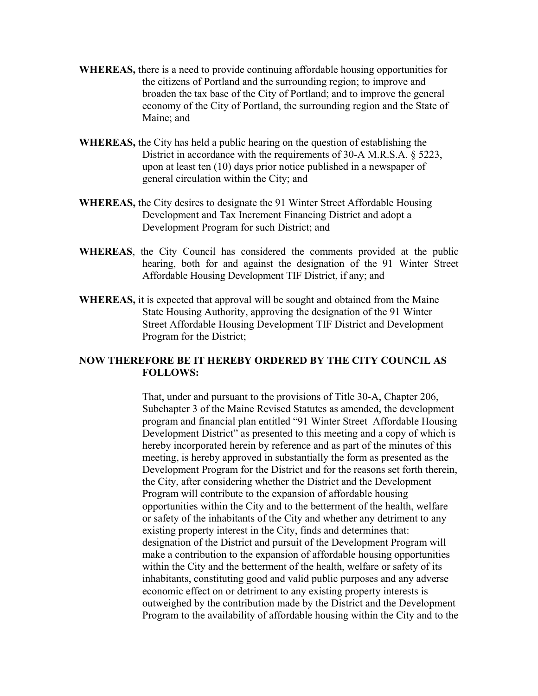- **WHEREAS,** there is a need to provide continuing affordable housing opportunities for the citizens of Portland and the surrounding region; to improve and broaden the tax base of the City of Portland; and to improve the general economy of the City of Portland, the surrounding region and the State of Maine; and
- **WHEREAS,** the City has held a public hearing on the question of establishing the District in accordance with the requirements of 30-A M.R.S.A. § 5223, upon at least ten (10) days prior notice published in a newspaper of general circulation within the City; and
- **WHEREAS,** the City desires to designate the 91 Winter Street Affordable Housing Development and Tax Increment Financing District and adopt a Development Program for such District; and
- **WHEREAS**, the City Council has considered the comments provided at the public hearing, both for and against the designation of the 91 Winter Street Affordable Housing Development TIF District, if any; and
- **WHEREAS,** it is expected that approval will be sought and obtained from the Maine State Housing Authority, approving the designation of the 91 Winter Street Affordable Housing Development TIF District and Development Program for the District;

## **NOW THEREFORE BE IT HEREBY ORDERED BY THE CITY COUNCIL AS FOLLOWS:**

That, under and pursuant to the provisions of Title 30-A, Chapter 206, Subchapter 3 of the Maine Revised Statutes as amended, the development program and financial plan entitled "91 Winter Street Affordable Housing Development District" as presented to this meeting and a copy of which is hereby incorporated herein by reference and as part of the minutes of this meeting, is hereby approved in substantially the form as presented as the Development Program for the District and for the reasons set forth therein, the City, after considering whether the District and the Development Program will contribute to the expansion of affordable housing opportunities within the City and to the betterment of the health, welfare or safety of the inhabitants of the City and whether any detriment to any existing property interest in the City, finds and determines that: designation of the District and pursuit of the Development Program will make a contribution to the expansion of affordable housing opportunities within the City and the betterment of the health, welfare or safety of its inhabitants, constituting good and valid public purposes and any adverse economic effect on or detriment to any existing property interests is outweighed by the contribution made by the District and the Development Program to the availability of affordable housing within the City and to the